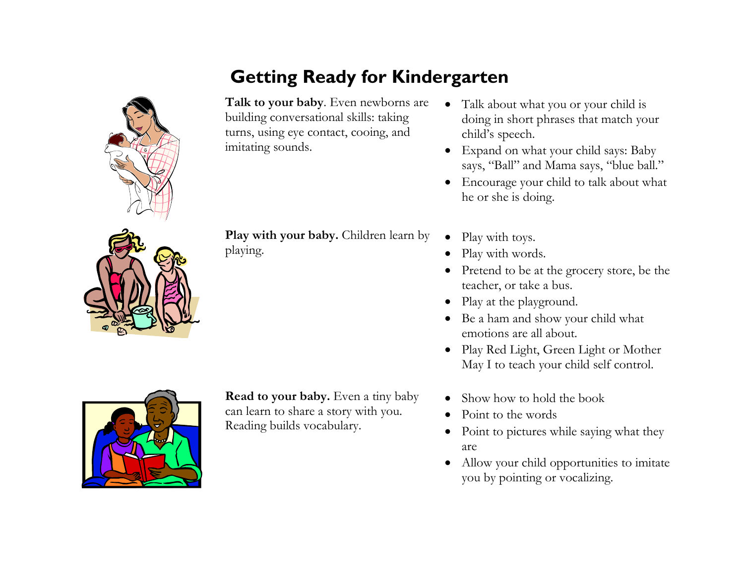# **Getting Ready for Kindergarten**

**Talk to your baby**. Even newborns are building conversational skills: taking turns, using eye contact, cooing, and imitating sounds.

- Talk about what you or your child is doing in short phrases that match your child's speech.
- Expand on what your child says: Baby says, "Ball" and Mama says, "blue ball."
- Encourage your child to talk about what he or she is doing.

**Play with your baby.** Children learn by playing.

- Play with toys.
- Play with words.
- Pretend to be at the grocery store, be the teacher, or take a bus.
- Play at the playground.
- Be a ham and show your child what emotions are all about.
- Play Red Light, Green Light or Mother May I to teach your child self control.
- Show how to hold the book
- Point to the words
- Point to pictures while saying what they are
- Allow your child opportunities to imitate you by pointing or vocalizing.



**Read to your baby.** Even a tiny baby can learn to share a story with you. Reading builds vocabulary.



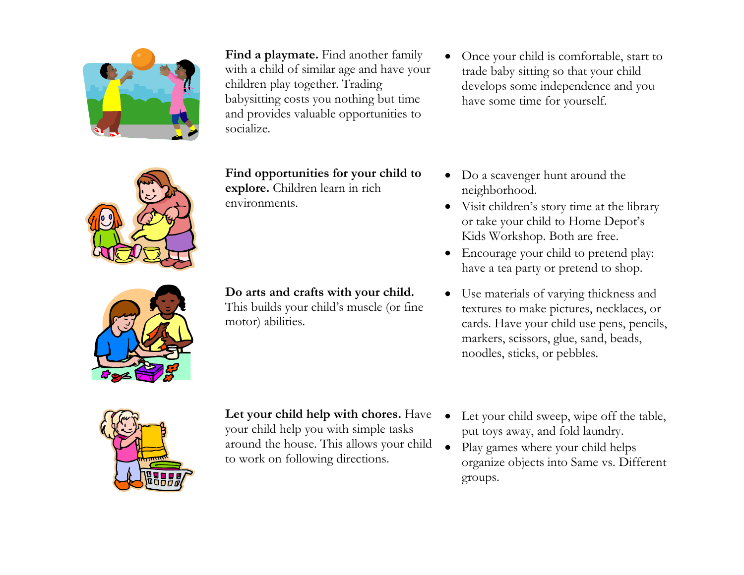

**Find a playmate.** Find another family with a child of similar age and have your children play together. Trading babysitting costs you nothing but time and provides valuable opportunities to socialize.

**Find opportunities for your child to explore.** Children learn in rich environments.

**Do arts and crafts with your child.**

This builds your child's muscle (or fine motor) abilities.

 Once your child is comfortable, start to trade baby sitting so that your child develops some independence and you have some time for yourself.

- Do a scavenger hunt around the neighborhood.
- Visit children's story time at the library or take your child to Home Depot's Kids Workshop. Both are free.
- Encourage your child to pretend play: have a tea party or pretend to shop.
- Use materials of varying thickness and textures to make pictures, necklaces, or cards. Have your child use pens, pencils, markers, scissors, glue, sand, beads, noodles, sticks, or pebbles.



**Let your child help with chores.** Have your child help you with simple tasks around the house. This allows your child to work on following directions.

- Let your child sweep, wipe off the table, put toys away, and fold laundry.
- Play games where your child helps organize objects into Same vs. Different groups.

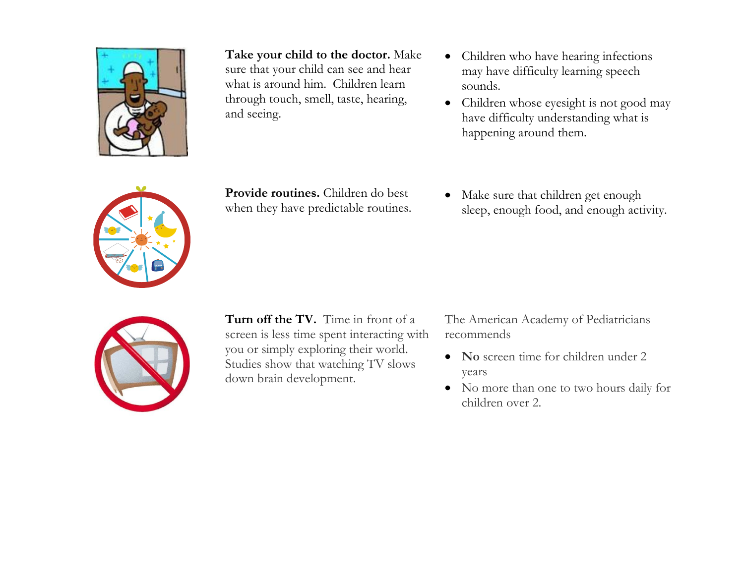

**Take your child to the doctor.** Make sure that your child can see and hear what is around him. Children learn through touch, smell, taste, hearing, and seeing.

- Children who have hearing infections may have difficulty learning speech sounds.
- Children whose eyesight is not good may have difficulty understanding what is happening around them.



**Provide routines.** Children do best when they have predictable routines.

• Make sure that children get enough sleep, enough food, and enough activity.



**Turn off the TV.** Time in front of a screen is less time spent interacting with you or simply exploring their world. Studies show that watching TV slows down brain development.

The American Academy of Pediatricians recommends

- No screen time for children under 2 years
- No more than one to two hours daily for children over 2.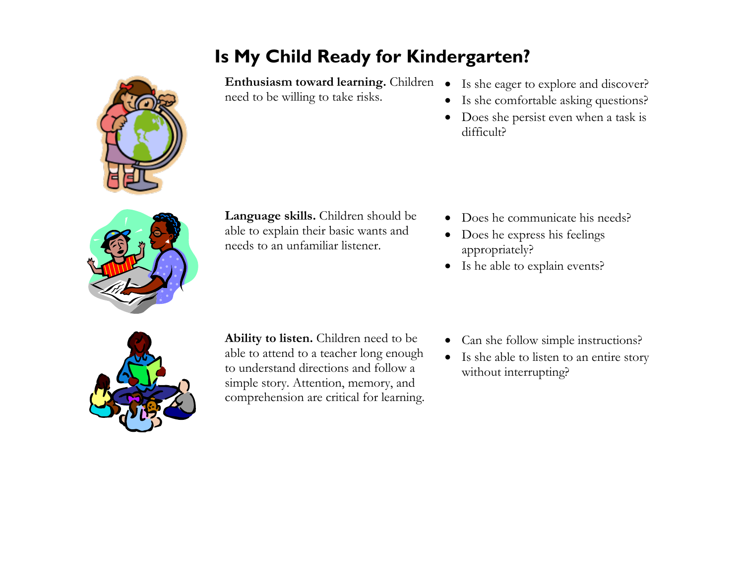# **Is My Child Ready for Kindergarten?**

Enthusiasm toward learning. Children  $\bullet$  Is she eager to explore and discover? need to be willing to take risks.

- 
- Is she comfortable asking questions?
- Does she persist even when a task is difficult?



**Language skills.** Children should be able to explain their basic wants and needs to an unfamiliar listener.

- Does he communicate his needs?
- Does he express his feelings appropriately?
- Is he able to explain events?



**Ability to listen.** Children need to be able to attend to a teacher long enough to understand directions and follow a simple story. Attention, memory, and comprehension are critical for learning.

- Can she follow simple instructions?
- Is she able to listen to an entire story without interrupting?

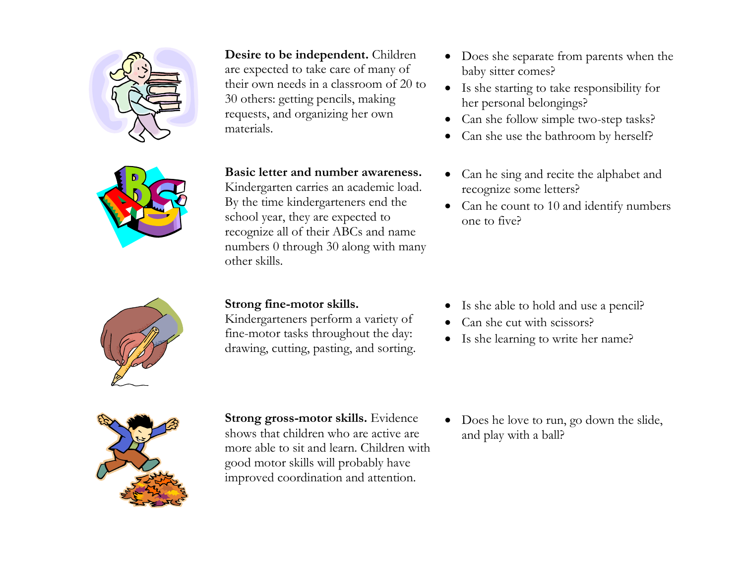

**Desire to be independent.** Children are expected to take care of many of

their own needs in a classroom of 20 to 30 others: getting pencils, making requests, and organizing her own materials.

#### **Basic letter and number awareness.**

Kindergarten carries an academic load. By the time kindergarteners end the school year, they are expected to recognize all of their ABCs and name numbers 0 through 30 along with many other skills.

#### **Strong fine-motor skills.**

Kindergarteners perform a variety of fine-motor tasks throughout the day: drawing, cutting, pasting, and sorting.

- Does she separate from parents when the baby sitter comes?
- Is she starting to take responsibility for her personal belongings?
- Can she follow simple two-step tasks?
- Can she use the bathroom by herself?
- Can he sing and recite the alphabet and recognize some letters?
- Can he count to 10 and identify numbers one to five?

- Is she able to hold and use a pencil?
- Can she cut with scissors?
- Is she learning to write her name?



**Strong gross-motor skills.** Evidence shows that children who are active are more able to sit and learn. Children with good motor skills will probably have improved coordination and attention.

• Does he love to run, go down the slide, and play with a ball?